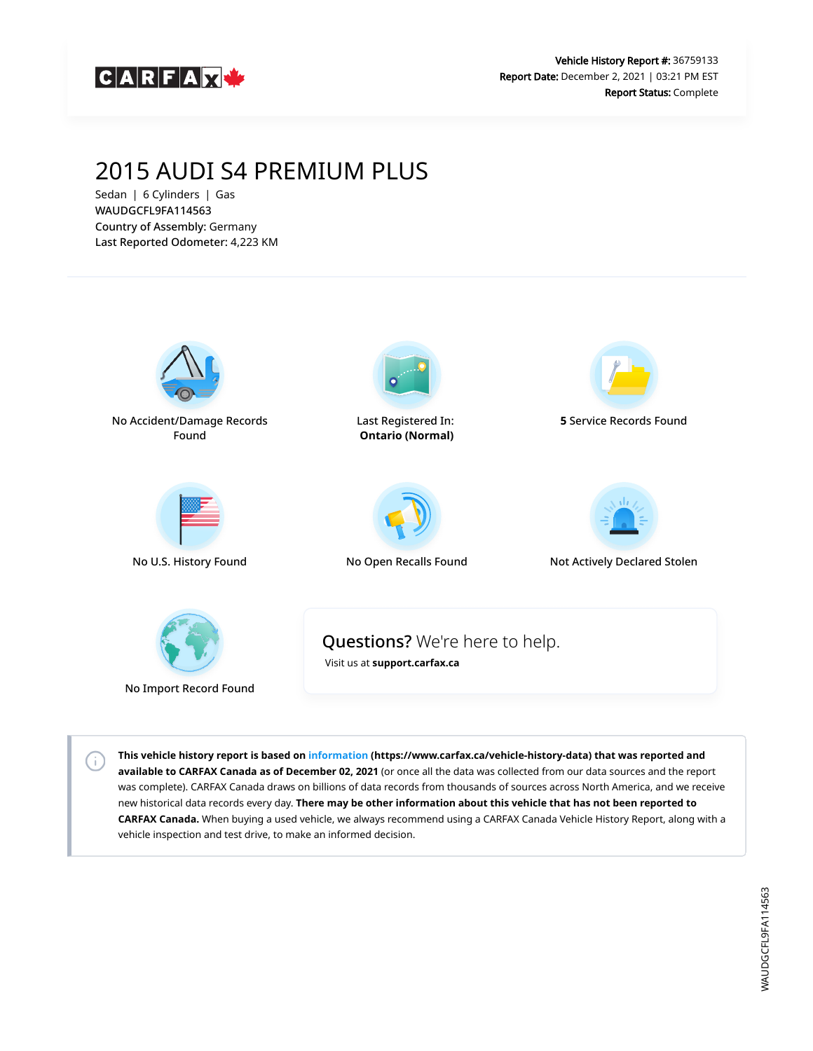

# 2015 AUDI S4 PREMIUM PLUS

Sedan | 6 Cylinders | Gas WAUDGCFL9FA114563 Country of Assembly: Germany Last Reported Odometer: 4,223 KM

 $\left( \cdot \right)$ 



**This vehicle history report is based on [information](https://www.carfax.ca/vehicle-history-data) (https://www.carfax.ca/vehicle-history-data) that was reported and available to CARFAX Canada as of December 02, 2021** (or once all the data was collected from our data sources and the report was complete). CARFAX Canada draws on billions of data records from thousands of sources across North America, and we receive new historical data records every day. **There may be other information about this vehicle that has not been reported to CARFAX Canada.** When buying a used vehicle, we always recommend using a CARFAX Canada Vehicle History Report, along with a vehicle inspection and test drive, to make an informed decision.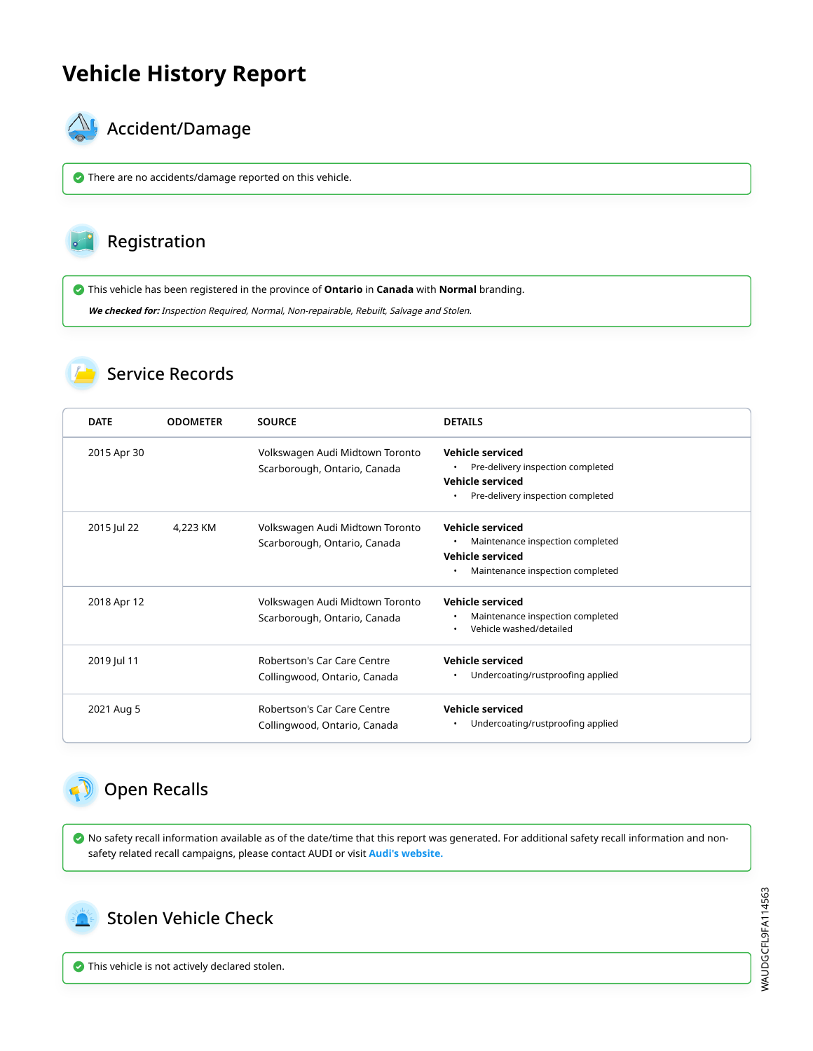# **Vehicle History Report**



# $\mathbb{A}_{\mathbb{A}}$  Accident/Damage

There are no accidents/damage reported on this vehicle.

## Registration

This vehicle has been registered in the province of **Ontario** in **Canada** with **Normal** branding.

**We checked for:** Inspection Required, Normal, Non-repairable, Rebuilt, Salvage and Stolen.

#### Service Records

| <b>DATE</b> | <b>ODOMETER</b> | <b>SOURCE</b>                                                   | <b>DETAILS</b>                                                                                                               |
|-------------|-----------------|-----------------------------------------------------------------|------------------------------------------------------------------------------------------------------------------------------|
| 2015 Apr 30 |                 | Volkswagen Audi Midtown Toronto<br>Scarborough, Ontario, Canada | <b>Vehicle serviced</b><br>Pre-delivery inspection completed<br><b>Vehicle serviced</b><br>Pre-delivery inspection completed |
| 2015 Jul 22 | 4.223 KM        | Volkswagen Audi Midtown Toronto<br>Scarborough, Ontario, Canada | <b>Vehicle serviced</b><br>Maintenance inspection completed<br><b>Vehicle serviced</b><br>Maintenance inspection completed   |
| 2018 Apr 12 |                 | Volkswagen Audi Midtown Toronto<br>Scarborough, Ontario, Canada | <b>Vehicle serviced</b><br>Maintenance inspection completed<br>Vehicle washed/detailed                                       |
| 2019 Jul 11 |                 | Robertson's Car Care Centre<br>Collingwood, Ontario, Canada     | <b>Vehicle serviced</b><br>Undercoating/rustproofing applied<br>٠                                                            |
| 2021 Aug 5  |                 | Robertson's Car Care Centre<br>Collingwood, Ontario, Canada     | <b>Vehicle serviced</b><br>Undercoating/rustproofing applied                                                                 |

## Open Recalls

 No safety recall information available as of the date/time that this report was generated. For additional safety recall information and nonsafety related recall campaigns, please contact AUDI or visit **[Audi's website.](http://web.audiusa.com/recall/)**



 $\bullet$  This vehicle is not actively declared stolen.